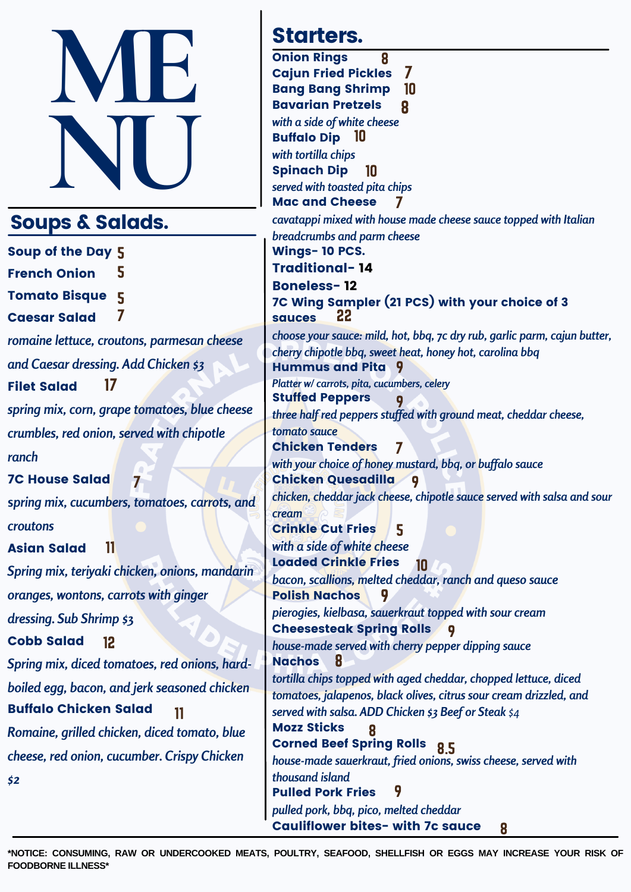

## Soups & Salads.

Soup of the Day 5 French Onion Tomato Bisque Caesar Salad *romaine lettuce, croutons, parmesan cheese and Caesar dressing. Add Chicken \$3* Filet Salad *spring mix, corn, grape tomatoes, blue cheese crumbles, red onion, served with chipotle ranch* 7C House Salad **s***pring mix, cucumbers, tomatoes, carrots, and croutons* Asian Salad *Spring mix, teriyaki chicken, onions, mandarin oranges, wontons, carrots with ginger dressing. Sub Shrimp \$***3** Cobb Salad *Spring mix, diced tomatoes, red onions, hardboiled egg, bacon, and jerk seasoned chicken* Buffalo Chicken Salad *Romaine, grilled chicken, diced tomato, blue cheese, red onion, cucumber. Crispy Chicken \$2* 5 5 7 17 7 11 12 11

## Starters.

Onion Rings Cajun Fried Pickles 7 Bang Bang Shrimp Bavarian Pretzels *with a side of white cheese* Buffalo Dip 10 *with tortilla chips* Spinach Dip *served with toasted pita chips* Mac and Cheese *cavatappi mixed with house made cheese sauce topped with Italian breadcrumbs and parm cheese* Wings- 10 PCS. Traditional- 14 Boneless- 12 7C Wing Sampler (21 PCS) with your choice of 3 sauces *choose your sauce: mild, hot, bbq, 7c dry rub, garlic parm, cajun butter, cherry chipotle bbq, sweet heat, honey hot, carolina bbq* Hummus and Pita 9 *Platter w/ carrots, pita, cucumbers, celery* Stuffed Peppers *three half red peppers stuf ed with ground meat, cheddar cheese, tomato sauce* Chicken Tenders *with your choice of honey mustard, bbq, or buf alo sauce* Chicken Quesadilla *chicken, cheddar jack cheese, chipotle sauce served with salsa and sour cream* Crinkle Cut Fries *with a side of white cheese* Loaded Crinkle Fries *bacon, scallions, melted cheddar, ranch and queso sauce* Polish Nachos *pierogies, kielbasa, sauerkraut topped with sour cream* Cheesesteak Spring Rolls 9 *house-made served with cherry pepper dipping sauce* Nachos *tortilla chips topped with aged cheddar, chopped lettuce, diced tomatoes, jalapenos, black olives, citrus sour cream drizzled, and served with salsa. ADD Chicken \$3 Beef or Steak \$4* Mozz Sticks Corned Beef Spring Rolls *house-made sauerkraut, fried onions, swiss cheese, served with thousand island* Pulled Pork Fries *pulled pork, bbq, pico, melted cheddar* Cauliflower bites- with 7c sauce 8 10 8 10 7 22 9 7 9 5 10 9 8 8 8.5 9 8